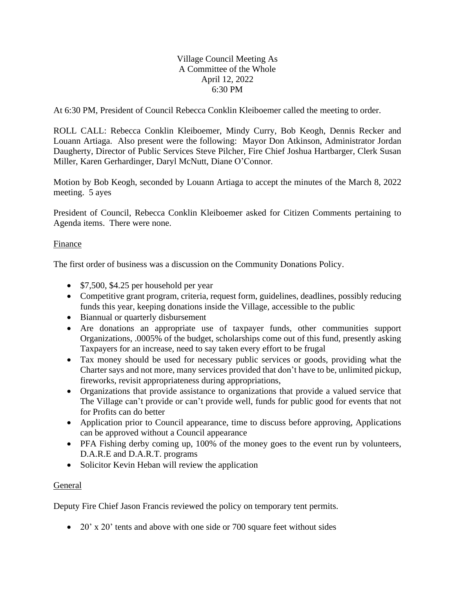## Village Council Meeting As A Committee of the Whole April 12, 2022 6:30 PM

At 6:30 PM, President of Council Rebecca Conklin Kleiboemer called the meeting to order.

ROLL CALL: Rebecca Conklin Kleiboemer, Mindy Curry, Bob Keogh, Dennis Recker and Louann Artiaga. Also present were the following: Mayor Don Atkinson, Administrator Jordan Daugherty, Director of Public Services Steve Pilcher, Fire Chief Joshua Hartbarger, Clerk Susan Miller, Karen Gerhardinger, Daryl McNutt, Diane O'Connor.

Motion by Bob Keogh, seconded by Louann Artiaga to accept the minutes of the March 8, 2022 meeting. 5 ayes

President of Council, Rebecca Conklin Kleiboemer asked for Citizen Comments pertaining to Agenda items. There were none.

## Finance

The first order of business was a discussion on the Community Donations Policy.

- \$7,500, \$4.25 per household per year
- Competitive grant program, criteria, request form, guidelines, deadlines, possibly reducing funds this year, keeping donations inside the Village, accessible to the public
- Biannual or quarterly disbursement
- Are donations an appropriate use of taxpayer funds, other communities support Organizations, .0005% of the budget, scholarships come out of this fund, presently asking Taxpayers for an increase, need to say taken every effort to be frugal
- Tax money should be used for necessary public services or goods, providing what the Charter says and not more, many services provided that don't have to be, unlimited pickup, fireworks, revisit appropriateness during appropriations,
- Organizations that provide assistance to organizations that provide a valued service that The Village can't provide or can't provide well, funds for public good for events that not for Profits can do better
- Application prior to Council appearance, time to discuss before approving, Applications can be approved without a Council appearance
- PFA Fishing derby coming up, 100% of the money goes to the event run by volunteers, D.A.R.E and D.A.R.T. programs
- Solicitor Kevin Heban will review the application

## General

Deputy Fire Chief Jason Francis reviewed the policy on temporary tent permits.

• 20' x 20' tents and above with one side or 700 square feet without sides